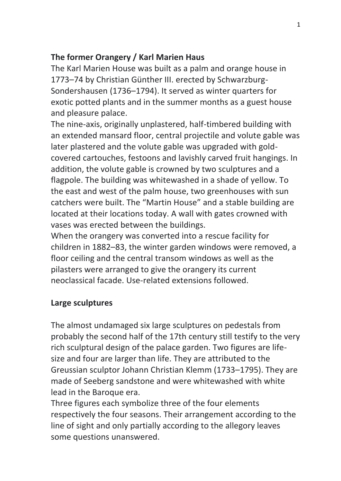# **The former Orangery / Karl Marien Haus**

The Karl Marien House was built as a palm and orange house in 1773–74 by Christian Günther III. erected by Schwarzburg-Sondershausen (1736–1794). It served as winter quarters for exotic potted plants and in the summer months as a guest house and pleasure palace.

The nine-axis, originally unplastered, half-timbered building with an extended mansard floor, central projectile and volute gable was later plastered and the volute gable was upgraded with goldcovered cartouches, festoons and lavishly carved fruit hangings. In addition, the volute gable is crowned by two sculptures and a flagpole. The building was whitewashed in a shade of yellow. To the east and west of the palm house, two greenhouses with sun catchers were built. The "Martin House" and a stable building are located at their locations today. A wall with gates crowned with vases was erected between the buildings.

When the orangery was converted into a rescue facility for children in 1882–83, the winter garden windows were removed, a floor ceiling and the central transom windows as well as the pilasters were arranged to give the orangery its current neoclassical facade. Use-related extensions followed.

### **Large sculptures**

The almost undamaged six large sculptures on pedestals from probably the second half of the 17th century still testify to the very rich sculptural design of the palace garden. Two figures are lifesize and four are larger than life. They are attributed to the Greussian sculptor Johann Christian Klemm (1733–1795). They are made of Seeberg sandstone and were whitewashed with white lead in the Baroque era.

Three figures each symbolize three of the four elements respectively the four seasons. Their arrangement according to the line of sight and only partially according to the allegory leaves some questions unanswered.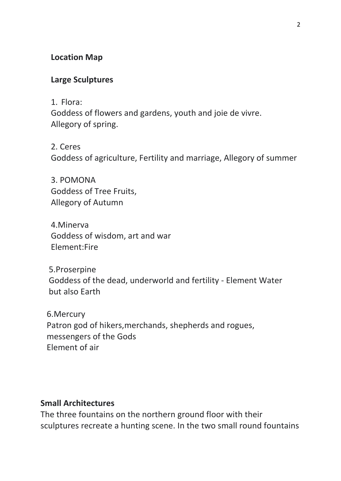### **Location Map**

#### **Large Sculptures**

1. Flora:

Goddess of flowers and gardens, youth and joie de vivre. Allegory of spring.

2. Ceres Goddess of agriculture, Fertility and marriage, Allegory of summer

3. POMONA Goddess of Tree Fruits, Allegory of Autumn

 4.Minerva Goddess of wisdom, art and war Element:Fire

 5.Proserpine Goddess of the dead, underworld and fertility - Element Water but also Earth

 6.Mercury Patron god of hikers,merchands, shepherds and rogues, messengers of the Gods Element of air

#### **Small Architectures**

The three fountains on the northern ground floor with their sculptures recreate a hunting scene. In the two small round fountains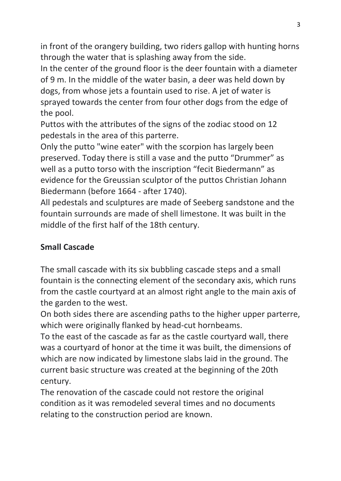in front of the orangery building, two riders gallop with hunting horns through the water that is splashing away from the side.

In the center of the ground floor is the deer fountain with a diameter of 9 m. In the middle of the water basin, a deer was held down by dogs, from whose jets a fountain used to rise. A jet of water is sprayed towards the center from four other dogs from the edge of the pool.

Puttos with the attributes of the signs of the zodiac stood on 12 pedestals in the area of this parterre.

Only the putto "wine eater" with the scorpion has largely been preserved. Today there is still a vase and the putto "Drummer" as well as a putto torso with the inscription "fecit Biedermann" as evidence for the Greussian sculptor of the puttos Christian Johann Biedermann (before 1664 - after 1740).

All pedestals and sculptures are made of Seeberg sandstone and the fountain surrounds are made of shell limestone. It was built in the middle of the first half of the 18th century.

# **Small Cascade**

The small cascade with its six bubbling cascade steps and a small fountain is the connecting element of the secondary axis, which runs from the castle courtyard at an almost right angle to the main axis of the garden to the west.

On both sides there are ascending paths to the higher upper parterre, which were originally flanked by head-cut hornbeams.

To the east of the cascade as far as the castle courtyard wall, there was a courtyard of honor at the time it was built, the dimensions of which are now indicated by limestone slabs laid in the ground. The current basic structure was created at the beginning of the 20th century.

The renovation of the cascade could not restore the original condition as it was remodeled several times and no documents relating to the construction period are known.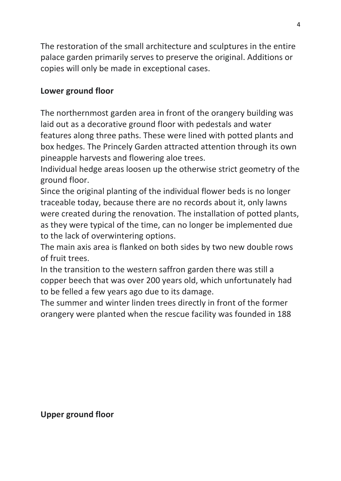The restoration of the small architecture and sculptures in the entire palace garden primarily serves to preserve the original. Additions or copies will only be made in exceptional cases.

## **Lower ground floor**

The northernmost garden area in front of the orangery building was laid out as a decorative ground floor with pedestals and water features along three paths. These were lined with potted plants and box hedges. The Princely Garden attracted attention through its own pineapple harvests and flowering aloe trees.

Individual hedge areas loosen up the otherwise strict geometry of the ground floor.

Since the original planting of the individual flower beds is no longer traceable today, because there are no records about it, only lawns were created during the renovation. The installation of potted plants, as they were typical of the time, can no longer be implemented due to the lack of overwintering options.

The main axis area is flanked on both sides by two new double rows of fruit trees.

In the transition to the western saffron garden there was still a copper beech that was over 200 years old, which unfortunately had to be felled a few years ago due to its damage.

The summer and winter linden trees directly in front of the former orangery were planted when the rescue facility was founded in 188

**Upper ground floor**